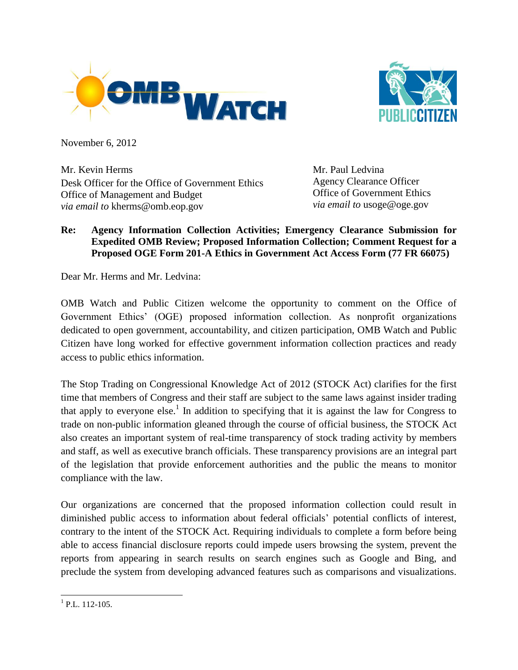



November 6, 2012

Mr. Kevin Herms Desk Officer for the Office of Government Ethics Office of Management and Budget *via email to* kherms@omb.eop.gov

Mr. Paul Ledvina Agency Clearance Officer Office of Government Ethics *via email to* usoge@oge.gov

## **Re: Agency Information Collection Activities; Emergency Clearance Submission for Expedited OMB Review; Proposed Information Collection; Comment Request for a Proposed OGE Form 201-A Ethics in Government Act Access Form (77 FR 66075)**

Dear Mr. Herms and Mr. Ledvina:

OMB Watch and Public Citizen welcome the opportunity to comment on the Office of Government Ethics' (OGE) proposed information collection. As nonprofit organizations dedicated to open government, accountability, and citizen participation, OMB Watch and Public Citizen have long worked for effective government information collection practices and ready access to public ethics information.

The Stop Trading on Congressional Knowledge Act of 2012 (STOCK Act) clarifies for the first time that members of Congress and their staff are subject to the same laws against insider trading that apply to everyone else.<sup>1</sup> In addition to specifying that it is against the law for Congress to trade on non-public information gleaned through the course of official business, the STOCK Act also creates an important system of real-time transparency of stock trading activity by members and staff, as well as executive branch officials. These transparency provisions are an integral part of the legislation that provide enforcement authorities and the public the means to monitor compliance with the law.

Our organizations are concerned that the proposed information collection could result in diminished public access to information about federal officials' potential conflicts of interest, contrary to the intent of the STOCK Act. Requiring individuals to complete a form before being able to access financial disclosure reports could impede users browsing the system, prevent the reports from appearing in search results on search engines such as Google and Bing, and preclude the system from developing advanced features such as comparisons and visualizations.

  $<sup>1</sup>$  P.L. 112-105.</sup>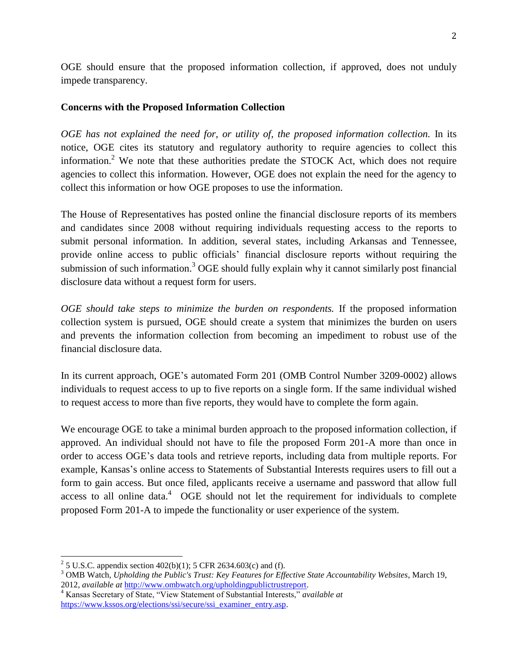OGE should ensure that the proposed information collection, if approved, does not unduly impede transparency.

## **Concerns with the Proposed Information Collection**

*OGE has not explained the need for, or utility of, the proposed information collection.* In its notice, OGE cites its statutory and regulatory authority to require agencies to collect this information.<sup>2</sup> We note that these authorities predate the STOCK Act, which does not require agencies to collect this information. However, OGE does not explain the need for the agency to collect this information or how OGE proposes to use the information.

The House of Representatives has posted online the financial disclosure reports of its members and candidates since 2008 without requiring individuals requesting access to the reports to submit personal information. In addition, several states, including Arkansas and Tennessee, provide online access to public officials' financial disclosure reports without requiring the submission of such information.<sup>3</sup> OGE should fully explain why it cannot similarly post financial disclosure data without a request form for users.

*OGE should take steps to minimize the burden on respondents.* If the proposed information collection system is pursued, OGE should create a system that minimizes the burden on users and prevents the information collection from becoming an impediment to robust use of the financial disclosure data.

In its current approach, OGE's automated Form 201 (OMB Control Number 3209-0002) allows individuals to request access to up to five reports on a single form. If the same individual wished to request access to more than five reports, they would have to complete the form again.

We encourage OGE to take a minimal burden approach to the proposed information collection, if approved. An individual should not have to file the proposed Form 201-A more than once in order to access OGE's data tools and retrieve reports, including data from multiple reports. For example, Kansas's online access to Statements of Substantial Interests requires users to fill out a form to gain access. But once filed, applicants receive a username and password that allow full access to all online data. $4\overline{OGE}$  should not let the requirement for individuals to complete proposed Form 201-A to impede the functionality or user experience of the system.

<sup>&</sup>lt;sup>2</sup> 5 U.S.C. appendix section 402(b)(1); 5 CFR 2634.603(c) and (f).

<sup>3</sup> OMB Watch, *Upholding the Public's Trust: Key Features for Effective State Accountability Websites*, March 19, 2012, *available at* [http://www.ombwatch.org/upholdingpublictrustreport.](http://www.ombwatch.org/upholdingpublictrustreport)

<sup>4</sup> Kansas Secretary of State, "View Statement of Substantial Interests," *available at*  [https://www.kssos.org/elections/ssi/secure/ssi\\_examiner\\_entry.asp.](https://www.kssos.org/elections/ssi/secure/ssi_examiner_entry.asp)